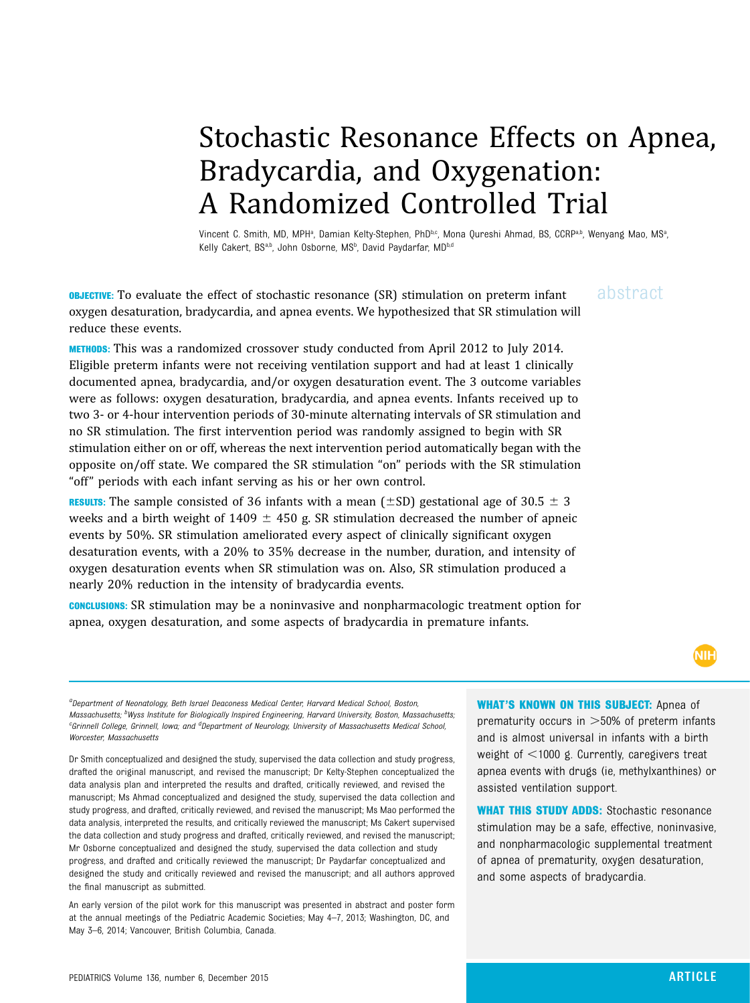# Stochastic Resonance Effects on Apnea, Bradycardia, and Oxygenation: A Randomized Controlled Trial

Vincent C. Smith, MD, MPHª, Damian Kelty-Stephen, PhDʰ¢, Mona Qureshi Ahmad, BS, CCRPªʰ, Wenyang Mao, MSª , Kelly Cakert, BS<sup>a,b</sup>, John Osborne, MS<sup>b</sup>, David Paydarfar, MD<sup>b,d</sup>

**OBJECTIVE:** To evaluate the effect of stochastic resonance (SR) stimulation on preterm infant abstract oxygen desaturation, bradycardia, and apnea events. We hypothesized that SR stimulation will reduce these events.

METHODS: This was a randomized crossover study conducted from April 2012 to July 2014. Eligible preterm infants were not receiving ventilation support and had at least 1 clinically documented apnea, bradycardia, and/or oxygen desaturation event. The 3 outcome variables were as follows: oxygen desaturation, bradycardia, and apnea events. Infants received up to two 3- or 4-hour intervention periods of 30-minute alternating intervals of SR stimulation and no SR stimulation. The first intervention period was randomly assigned to begin with SR stimulation either on or off, whereas the next intervention period automatically began with the opposite on/off state. We compared the SR stimulation "on" periods with the SR stimulation "off" periods with each infant serving as his or her own control.

**RESULTS:** The sample consisted of 36 infants with a mean ( $\pm$ SD) gestational age of 30.5  $\pm$  3 weeks and a birth weight of 1409  $\pm$  450 g. SR stimulation decreased the number of apneic events by 50%. SR stimulation ameliorated every aspect of clinically significant oxygen desaturation events, with a 20% to 35% decrease in the number, duration, and intensity of oxygen desaturation events when SR stimulation was on. Also, SR stimulation produced a nearly 20% reduction in the intensity of bradycardia events.

CONCLUSIONS: SR stimulation may be a noninvasive and nonpharmacologic treatment option for apnea, oxygen desaturation, and some aspects of bradycardia in premature infants.

NIH

<sup>a</sup>Department of Neonatology, Beth Israel Deaconess Medical Center, Harvard Medical School, Boston, Massachusetts; <sup>b</sup>Wyss Institute for Biologically Inspired Engineering, Harvard University, Boston, Massachusetts; <sup>c</sup>Grinnell College, Grinnell, Iowa; and <sup>d</sup>Department of Neurology, University of Massachusetts Medical School, Worcester, Massachusetts

Dr Smith conceptualized and designed the study, supervised the data collection and study progress, drafted the original manuscript, and revised the manuscript; Dr Kelty-Stephen conceptualized the data analysis plan and interpreted the results and drafted, critically reviewed, and revised the manuscript; Ms Ahmad conceptualized and designed the study, supervised the data collection and study progress, and drafted, critically reviewed, and revised the manuscript; Ms Mao performed the data analysis, interpreted the results, and critically reviewed the manuscript; Ms Cakert supervised the data collection and study progress and drafted, critically reviewed, and revised the manuscript; Mr Osborne conceptualized and designed the study, supervised the data collection and study progress, and drafted and critically reviewed the manuscript; Dr Paydarfar conceptualized and designed the study and critically reviewed and revised the manuscript; and all authors approved the final manuscript as submitted.

An early version of the pilot work for this manuscript was presented in abstract and poster form at the annual meetings of the Pediatric Academic Societies; May 4–7, 2013; Washington, DC, and May 3–6, 2014; Vancouver, British Columbia, Canada.

WHAT'S KNOWN ON THIS SUBJECT: Apnea of prematurity occurs in  $>50\%$  of preterm infants and is almost universal in infants with a birth weight of  $<$ 1000 g. Currently, caregivers treat apnea events with drugs (ie, methylxanthines) or assisted ventilation support.

WHAT THIS STUDY ADDS: Stochastic resonance stimulation may be a safe, effective, noninvasive, and nonpharmacologic supplemental treatment of apnea of prematurity, oxygen desaturation, and some aspects of bradycardia.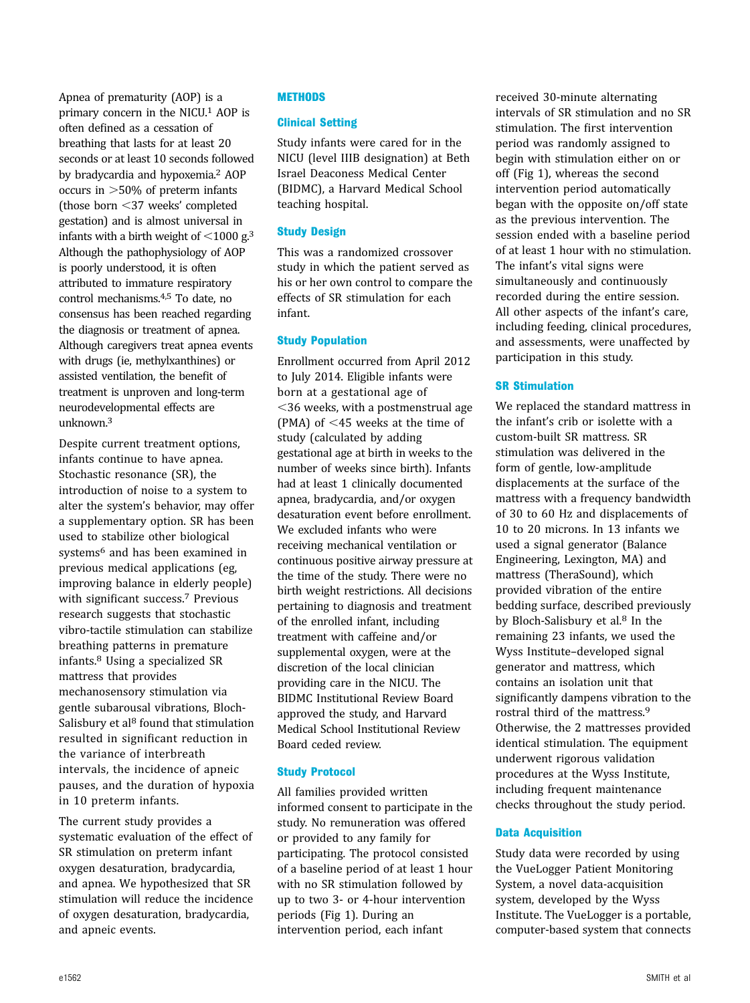Apnea of prematurity (AOP) is a primary concern in the NICU.<sup>1</sup> AOP is often defined as a cessation of breathing that lasts for at least 20 seconds or at least 10 seconds followed by bradycardia and hypoxemia.2 AOP occurs in  $>50\%$  of preterm infants (those born <37 weeks' completed gestation) and is almost universal in infants with a birth weight of  $<$ 1000 g.<sup>3</sup> Although the pathophysiology of AOP is poorly understood, it is often attributed to immature respiratory control mechanisms.4,5 To date, no consensus has been reached regarding the diagnosis or treatment of apnea. Although caregivers treat apnea events with drugs (ie, methylxanthines) or assisted ventilation, the benefit of treatment is unproven and long-term neurodevelopmental effects are unknown.3

Despite current treatment options, infants continue to have apnea. Stochastic resonance (SR), the introduction of noise to a system to alter the system's behavior, may offer a supplementary option. SR has been used to stabilize other biological systems<sup>6</sup> and has been examined in previous medical applications (eg, improving balance in elderly people) with significant success.<sup>7</sup> Previous research suggests that stochastic vibro-tactile stimulation can stabilize breathing patterns in premature infants.8 Using a specialized SR mattress that provides mechanosensory stimulation via gentle subarousal vibrations, Bloch-Salisbury et al $8$  found that stimulation resulted in significant reduction in the variance of interbreath intervals, the incidence of apneic pauses, and the duration of hypoxia in 10 preterm infants.

The current study provides a systematic evaluation of the effect of SR stimulation on preterm infant oxygen desaturation, bradycardia, and apnea. We hypothesized that SR stimulation will reduce the incidence of oxygen desaturation, bradycardia, and apneic events.

# **METHODS**

## Clinical Setting

Study infants were cared for in the NICU (level IIIB designation) at Beth Israel Deaconess Medical Center (BIDMC), a Harvard Medical School teaching hospital.

# Study Design

This was a randomized crossover study in which the patient served as his or her own control to compare the effects of SR stimulation for each infant.

# Study Population

Enrollment occurred from April 2012 to July 2014. Eligible infants were born at a gestational age of  $<$ 36 weeks, with a postmenstrual age (PMA) of  $<$ 45 weeks at the time of study (calculated by adding gestational age at birth in weeks to the number of weeks since birth). Infants had at least 1 clinically documented apnea, bradycardia, and/or oxygen desaturation event before enrollment. We excluded infants who were receiving mechanical ventilation or continuous positive airway pressure at the time of the study. There were no birth weight restrictions. All decisions pertaining to diagnosis and treatment of the enrolled infant, including treatment with caffeine and/or supplemental oxygen, were at the discretion of the local clinician providing care in the NICU. The BIDMC Institutional Review Board approved the study, and Harvard Medical School Institutional Review Board ceded review.

# Study Protocol

All families provided written informed consent to participate in the study. No remuneration was offered or provided to any family for participating. The protocol consisted of a baseline period of at least 1 hour with no SR stimulation followed by up to two 3- or 4-hour intervention periods (Fig 1). During an intervention period, each infant

received 30-minute alternating intervals of SR stimulation and no SR stimulation. The first intervention period was randomly assigned to begin with stimulation either on or off (Fig 1), whereas the second intervention period automatically began with the opposite on/off state as the previous intervention. The session ended with a baseline period of at least 1 hour with no stimulation. The infant's vital signs were simultaneously and continuously recorded during the entire session. All other aspects of the infant's care, including feeding, clinical procedures, and assessments, were unaffected by participation in this study.

# SR Stimulation

We replaced the standard mattress in the infant's crib or isolette with a custom-built SR mattress. SR stimulation was delivered in the form of gentle, low-amplitude displacements at the surface of the mattress with a frequency bandwidth of 30 to 60 Hz and displacements of 10 to 20 microns. In 13 infants we used a signal generator (Balance Engineering, Lexington, MA) and mattress (TheraSound), which provided vibration of the entire bedding surface, described previously by Bloch-Salisbury et al.<sup>8</sup> In the remaining 23 infants, we used the Wyss Institute–developed signal generator and mattress, which contains an isolation unit that significantly dampens vibration to the rostral third of the mattress.9 Otherwise, the 2 mattresses provided identical stimulation. The equipment underwent rigorous validation procedures at the Wyss Institute, including frequent maintenance checks throughout the study period.

# Data Acquisition

Study data were recorded by using the VueLogger Patient Monitoring System, a novel data-acquisition system, developed by the Wyss Institute. The VueLogger is a portable, computer-based system that connects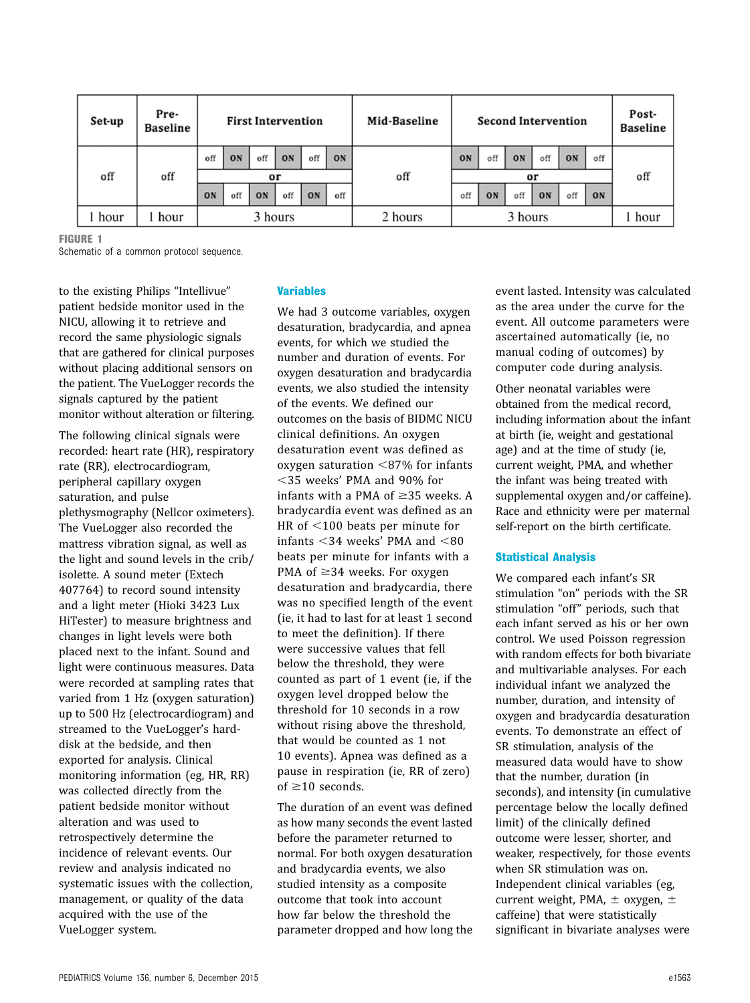| Set-up | Pre-<br><b>Baseline</b> | <b>First Intervention</b> |     |     |     | Mid-Baseline | <b>Second Intervention</b> |     |     |     |     | Post-<br><b>Baseline</b> |     |     |  |
|--------|-------------------------|---------------------------|-----|-----|-----|--------------|----------------------------|-----|-----|-----|-----|--------------------------|-----|-----|--|
| off    | off                     | off                       | ON  | off | ON  | off          | ON                         |     | ON  | off | ON  | off                      | ON  | off |  |
|        |                         | or                        |     |     |     |              |                            | off | or  |     |     |                          |     | off |  |
|        |                         | ON                        | off | ON  | off | ON           | off                        |     | off | ON  | off | ON                       | off | ON  |  |
| hour   | hour                    | 3 hours                   |     |     |     | 2 hours      | 3 hours                    |     |     |     |     | 1 hour                   |     |     |  |

FIGURE 1

Schematic of a common protocol sequence.

to the existing Philips "Intellivue" patient bedside monitor used in the NICU, allowing it to retrieve and record the same physiologic signals that are gathered for clinical purposes without placing additional sensors on the patient. The VueLogger records the signals captured by the patient monitor without alteration or filtering.

The following clinical signals were recorded: heart rate (HR), respiratory rate (RR), electrocardiogram, peripheral capillary oxygen saturation, and pulse plethysmography (Nellcor oximeters). The VueLogger also recorded the mattress vibration signal, as well as the light and sound levels in the crib/ isolette. A sound meter (Extech 407764) to record sound intensity and a light meter (Hioki 3423 Lux HiTester) to measure brightness and changes in light levels were both placed next to the infant. Sound and light were continuous measures. Data were recorded at sampling rates that varied from 1 Hz (oxygen saturation) up to 500 Hz (electrocardiogram) and streamed to the VueLogger's harddisk at the bedside, and then exported for analysis. Clinical monitoring information (eg, HR, RR) was collected directly from the patient bedside monitor without alteration and was used to retrospectively determine the incidence of relevant events. Our review and analysis indicated no systematic issues with the collection, management, or quality of the data acquired with the use of the VueLogger system.

## Variables

We had 3 outcome variables, oxygen desaturation, bradycardia, and apnea events, for which we studied the number and duration of events. For oxygen desaturation and bradycardia events, we also studied the intensity of the events. We defined our outcomes on the basis of BIDMC NICU clinical definitions. An oxygen desaturation event was defined as oxygen saturation  $\leq 87\%$  for infants  $<$ 35 weeks' PMA and 90% for infants with a PMA of  $\geq$ 35 weeks. A bradycardia event was defined as an HR of  $<$ 100 beats per minute for infants  $<$ 34 weeks' PMA and  $<$ 80 beats per minute for infants with a PMA of  $\geq$ 34 weeks. For oxygen desaturation and bradycardia, there was no specified length of the event (ie, it had to last for at least 1 second to meet the definition). If there were successive values that fell below the threshold, they were counted as part of 1 event (ie, if the oxygen level dropped below the threshold for 10 seconds in a row without rising above the threshold, that would be counted as 1 not 10 events). Apnea was defined as a pause in respiration (ie, RR of zero) of  $\geq$ 10 seconds.

The duration of an event was defined as how many seconds the event lasted before the parameter returned to normal. For both oxygen desaturation and bradycardia events, we also studied intensity as a composite outcome that took into account how far below the threshold the parameter dropped and how long the event lasted. Intensity was calculated as the area under the curve for the event. All outcome parameters were ascertained automatically (ie, no manual coding of outcomes) by computer code during analysis.

Other neonatal variables were obtained from the medical record, including information about the infant at birth (ie, weight and gestational age) and at the time of study (ie, current weight, PMA, and whether the infant was being treated with supplemental oxygen and/or caffeine). Race and ethnicity were per maternal self-report on the birth certificate.

## Statistical Analysis

We compared each infant's SR stimulation "on" periods with the SR stimulation "off" periods, such that each infant served as his or her own control. We used Poisson regression with random effects for both bivariate and multivariable analyses. For each individual infant we analyzed the number, duration, and intensity of oxygen and bradycardia desaturation events. To demonstrate an effect of SR stimulation, analysis of the measured data would have to show that the number, duration (in seconds), and intensity (in cumulative percentage below the locally defined limit) of the clinically defined outcome were lesser, shorter, and weaker, respectively, for those events when SR stimulation was on. Independent clinical variables (eg, current weight, PMA,  $\pm$  oxygen,  $\pm$ caffeine) that were statistically significant in bivariate analyses were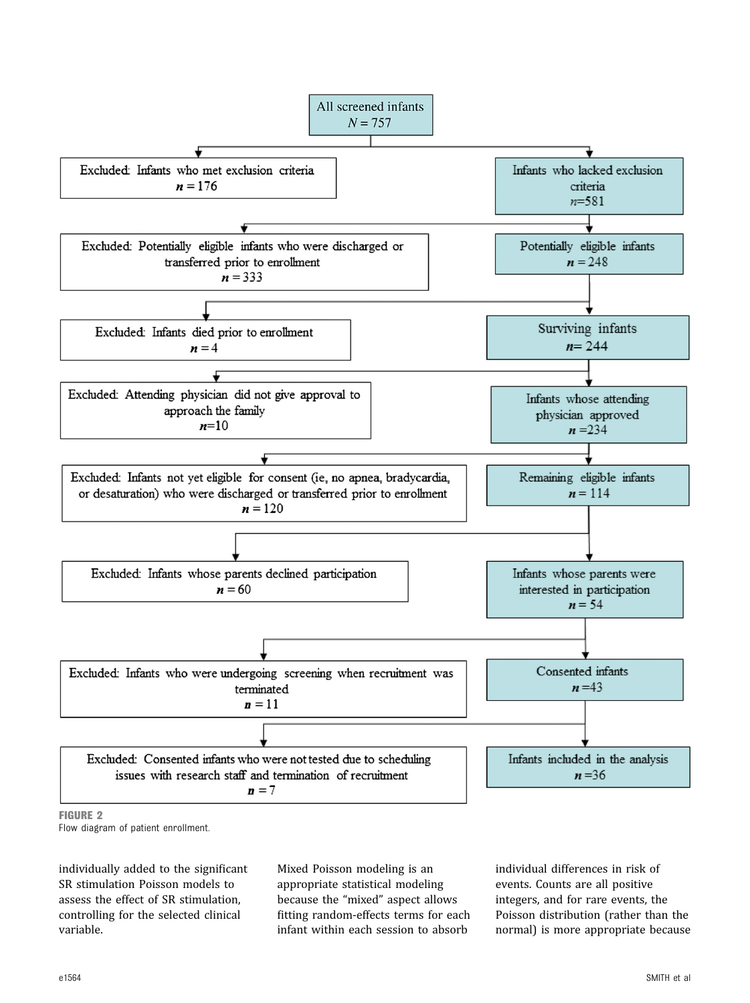

FIGURE 2

Flow diagram of patient enrollment.

individually added to the significant SR stimulation Poisson models to assess the effect of SR stimulation, controlling for the selected clinical variable.

Mixed Poisson modeling is an appropriate statistical modeling because the "mixed" aspect allows fitting random-effects terms for each infant within each session to absorb

individual differences in risk of events. Counts are all positive integers, and for rare events, the Poisson distribution (rather than the normal) is more appropriate because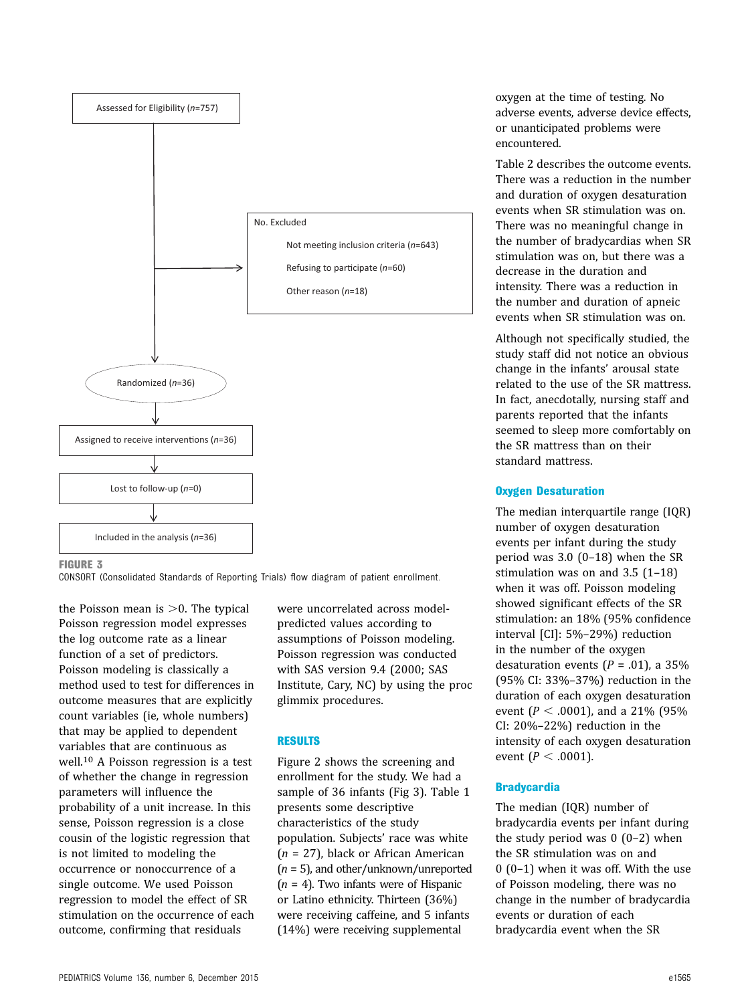

#### FIGURE 3

CONSORT (Consolidated Standards of Reporting Trials) flow diagram of patient enrollment.

the Poisson mean is  $>0$ . The typical Poisson regression model expresses the log outcome rate as a linear function of a set of predictors. Poisson modeling is classically a method used to test for differences in outcome measures that are explicitly count variables (ie, whole numbers) that may be applied to dependent variables that are continuous as well.10 A Poisson regression is a test of whether the change in regression parameters will influence the probability of a unit increase. In this sense, Poisson regression is a close cousin of the logistic regression that is not limited to modeling the occurrence or nonoccurrence of a single outcome. We used Poisson regression to model the effect of SR stimulation on the occurrence of each outcome, confirming that residuals

were uncorrelated across modelpredicted values according to assumptions of Poisson modeling. Poisson regression was conducted with SAS version 9.4 (2000; SAS Institute, Cary, NC) by using the proc glimmix procedures.

## RESULTS

Figure 2 shows the screening and enrollment for the study. We had a sample of 36 infants (Fig 3). Table 1 presents some descriptive characteristics of the study population. Subjects' race was white  $(n = 27)$ , black or African American  $(n = 5)$ , and other/unknown/unreported  $(n = 4)$ . Two infants were of Hispanic or Latino ethnicity. Thirteen (36%) were receiving caffeine, and 5 infants (14%) were receiving supplemental

oxygen at the time of testing. No adverse events, adverse device effects, or unanticipated problems were encountered.

Table 2 describes the outcome events. There was a reduction in the number and duration of oxygen desaturation events when SR stimulation was on. There was no meaningful change in the number of bradycardias when SR stimulation was on, but there was a decrease in the duration and intensity. There was a reduction in the number and duration of apneic events when SR stimulation was on.

Although not specifically studied, the study staff did not notice an obvious change in the infants' arousal state related to the use of the SR mattress. In fact, anecdotally, nursing staff and parents reported that the infants seemed to sleep more comfortably on the SR mattress than on their standard mattress.

## Oxygen Desaturation

The median interquartile range (IQR) number of oxygen desaturation events per infant during the study period was 3.0 (0–18) when the SR stimulation was on and 3.5 (1–18) when it was off. Poisson modeling showed significant effects of the SR stimulation: an 18% (95% confidence interval [CI]: 5%–29%) reduction in the number of the oxygen desaturation events ( $P = .01$ ), a 35% (95% CI: 33%–37%) reduction in the duration of each oxygen desaturation event ( $P < .0001$ ), and a 21% (95% CI: 20%–22%) reduction in the intensity of each oxygen desaturation event ( $P < .0001$ ).

## **Bradycardia**

The median (IQR) number of bradycardia events per infant during the study period was  $0(0-2)$  when the SR stimulation was on and 0 (0–1) when it was off. With the use of Poisson modeling, there was no change in the number of bradycardia events or duration of each bradycardia event when the SR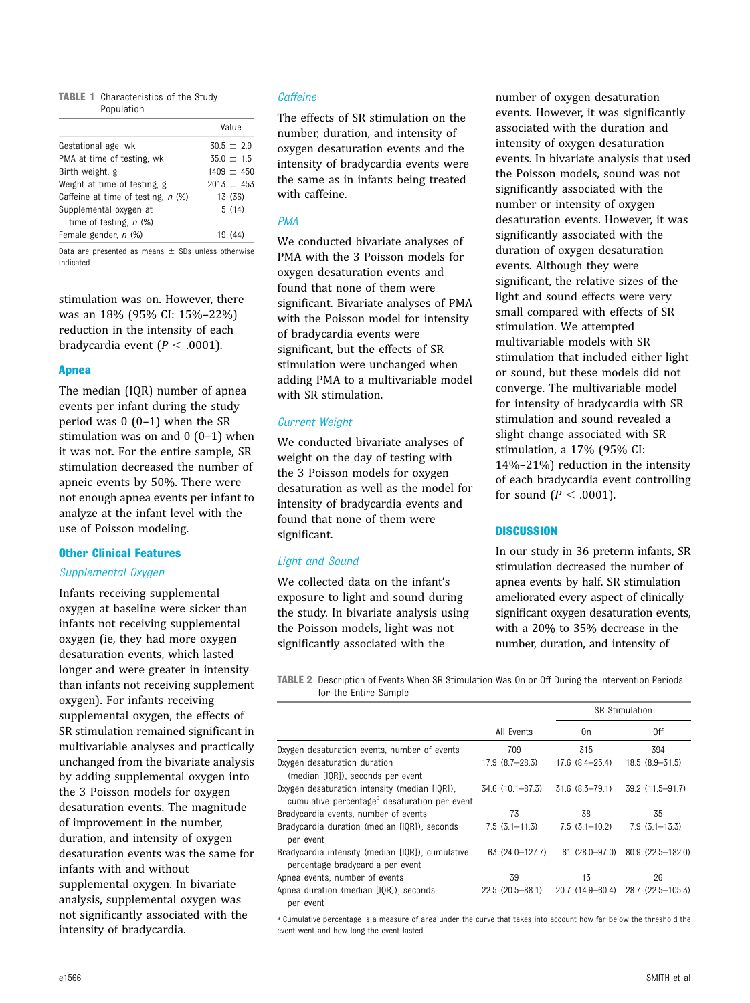#### TABLE 1 Characteristics of the Study Population

|                                      | Value          |
|--------------------------------------|----------------|
| Gestational age, wk                  | $30.5 \pm 2.9$ |
| PMA at time of testing, wk           | $35.0 \pm 1.5$ |
| Birth weight, g                      | $1409 \pm 450$ |
| Weight at time of testing, g         | $2013 \pm 453$ |
| Caffeine at time of testing, $n$ (%) | 13 (36)        |
| Supplemental oxygen at               | 5 (14)         |
| time of testing, $n$ (%)             |                |
| Female gender, n (%)                 | 19.            |

Data are presented as means  $\pm$  SDs unless otherwise indicated.

stimulation was on. However, there was an 18% (95% CI: 15%–22%) reduction in the intensity of each bradycardia event  $(P < .0001)$ .

## Apnea

The median (IQR) number of apnea events per infant during the study period was 0 (0–1) when the SR stimulation was on and  $0$  (0-1) when it was not. For the entire sample, SR stimulation decreased the number of apneic events by 50%. There were not enough apnea events per infant to analyze at the infant level with the use of Poisson modeling.

## Other Clinical Features

## Supplemental Oxygen

Infants receiving supplemental oxygen at baseline were sicker than infants not receiving supplemental oxygen (ie, they had more oxygen desaturation events, which lasted longer and were greater in intensity than infants not receiving supplement oxygen). For infants receiving supplemental oxygen, the effects of SR stimulation remained significant in multivariable analyses and practically unchanged from the bivariate analysis by adding supplemental oxygen into the 3 Poisson models for oxygen desaturation events. The magnitude of improvement in the number, duration, and intensity of oxygen desaturation events was the same for infants with and without supplemental oxygen. In bivariate analysis, supplemental oxygen was not significantly associated with the intensity of bradycardia.

## **Caffeine**

The effects of SR stimulation on the number, duration, and intensity of oxygen desaturation events and the intensity of bradycardia events were the same as in infants being treated with caffeine.

## PMA

We conducted bivariate analyses of PMA with the 3 Poisson models for oxygen desaturation events and found that none of them were significant. Bivariate analyses of PMA with the Poisson model for intensity of bradycardia events were significant, but the effects of SR stimulation were unchanged when adding PMA to a multivariable model with SR stimulation.

## Current Weight

We conducted bivariate analyses of weight on the day of testing with the 3 Poisson models for oxygen desaturation as well as the model for intensity of bradycardia events and found that none of them were significant.

# Light and Sound

We collected data on the infant's exposure to light and sound during the study. In bivariate analysis using the Poisson models, light was not significantly associated with the

number of oxygen desaturation events. However, it was significantly associated with the duration and intensity of oxygen desaturation events. In bivariate analysis that used the Poisson models, sound was not significantly associated with the number or intensity of oxygen desaturation events. However, it was significantly associated with the duration of oxygen desaturation events. Although they were significant, the relative sizes of the light and sound effects were very small compared with effects of SR stimulation. We attempted multivariable models with SR stimulation that included either light or sound, but these models did not converge. The multivariable model for intensity of bradycardia with SR stimulation and sound revealed a slight change associated with SR stimulation, a 17% (95% CI: 14%–21%) reduction in the intensity of each bradycardia event controlling for sound ( $P < .0001$ ).

## **DISCUSSION**

In our study in 36 preterm infants, SR stimulation decreased the number of apnea events by half. SR stimulation ameliorated every aspect of clinically significant oxygen desaturation events, with a 20% to 35% decrease in the number, duration, and intensity of

TABLE 2 Description of Events When SR Stimulation Was On or Off During the Intervention Periods for the Entire Sample

|                                                                                                            |                        | <b>SR Stimulation</b> |                      |  |  |  |
|------------------------------------------------------------------------------------------------------------|------------------------|-----------------------|----------------------|--|--|--|
|                                                                                                            | All Events             | 0n                    | 0ff                  |  |  |  |
| Oxygen desaturation events, number of events                                                               | 709                    | 315                   | 394                  |  |  |  |
| Oxygen desaturation duration                                                                               | $17.9(8.7-28.3)$       | $17.6(8.4 - 25.4)$    | $18.5(8.9 - 31.5)$   |  |  |  |
| (median [IQR]), seconds per event                                                                          |                        |                       |                      |  |  |  |
| Oxygen desaturation intensity (median [IOR]).<br>cumulative percentage <sup>a</sup> desaturation per event | $34.6$ $(10.1 - 87.3)$ | $31.6(8.3 - 79.1)$    | 39.2 (11.5-91.7)     |  |  |  |
| Bradycardia events, number of events                                                                       | 73                     | 38                    | 35                   |  |  |  |
| Bradycardia duration (median [IQR]), seconds<br>per event                                                  | $7.5(3.1 - 11.3)$      | $7.5(3.1 - 10.2)$     | $7.9(3.1 - 13.3)$    |  |  |  |
| Bradycardia intensity (median [IQR]), cumulative<br>percentage bradycardia per event                       | 63 (24.0-127.7)        | 61 (28.0-97.0)        | 80.9 (22.5-182.0)    |  |  |  |
| Apnea events, number of events                                                                             | 39                     | 13                    | 26                   |  |  |  |
| Apnea duration (median [IQR]), seconds<br>per event                                                        | $22.5(20.5-88.1)$      | 20.7 (14.9–60.4)      | $28.7(22.5 - 105.3)$ |  |  |  |

a Cumulative percentage is a measure of area under the curve that takes into account how far below the threshold the event went and how long the event lasted.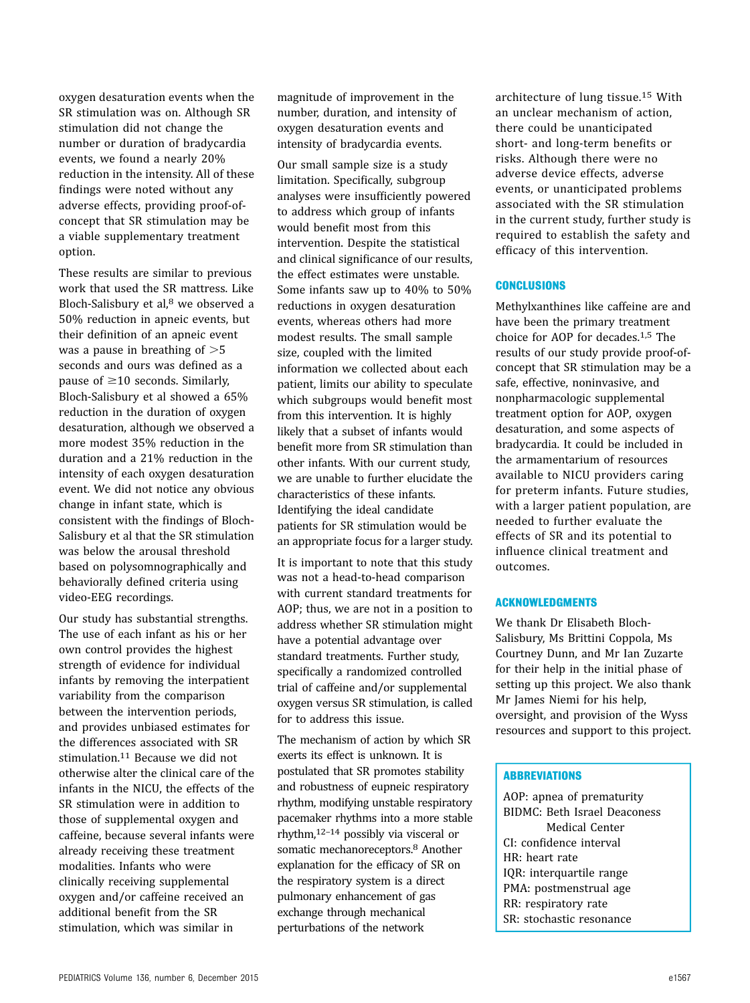oxygen desaturation events when the SR stimulation was on. Although SR stimulation did not change the number or duration of bradycardia events, we found a nearly 20% reduction in the intensity. All of these findings were noted without any adverse effects, providing proof-ofconcept that SR stimulation may be a viable supplementary treatment option.

These results are similar to previous work that used the SR mattress. Like Bloch-Salisbury et al,<sup>8</sup> we observed a 50% reduction in apneic events, but their definition of an apneic event was a pause in breathing of  $>5$ seconds and ours was defined as a pause of  $\geq 10$  seconds. Similarly, Bloch-Salisbury et al showed a 65% reduction in the duration of oxygen desaturation, although we observed a more modest 35% reduction in the duration and a 21% reduction in the intensity of each oxygen desaturation event. We did not notice any obvious change in infant state, which is consistent with the findings of Bloch-Salisbury et al that the SR stimulation was below the arousal threshold based on polysomnographically and behaviorally defined criteria using video-EEG recordings.

Our study has substantial strengths. The use of each infant as his or her own control provides the highest strength of evidence for individual infants by removing the interpatient variability from the comparison between the intervention periods, and provides unbiased estimates for the differences associated with SR stimulation.11 Because we did not otherwise alter the clinical care of the infants in the NICU, the effects of the SR stimulation were in addition to those of supplemental oxygen and caffeine, because several infants were already receiving these treatment modalities. Infants who were clinically receiving supplemental oxygen and/or caffeine received an additional benefit from the SR stimulation, which was similar in

magnitude of improvement in the number, duration, and intensity of oxygen desaturation events and intensity of bradycardia events.

Our small sample size is a study limitation. Specifically, subgroup analyses were insufficiently powered to address which group of infants would benefit most from this intervention. Despite the statistical and clinical significance of our results, the effect estimates were unstable. Some infants saw up to 40% to 50% reductions in oxygen desaturation events, whereas others had more modest results. The small sample size, coupled with the limited information we collected about each patient, limits our ability to speculate which subgroups would benefit most from this intervention. It is highly likely that a subset of infants would benefit more from SR stimulation than other infants. With our current study, we are unable to further elucidate the characteristics of these infants. Identifying the ideal candidate patients for SR stimulation would be an appropriate focus for a larger study.

It is important to note that this study was not a head-to-head comparison with current standard treatments for AOP; thus, we are not in a position to address whether SR stimulation might have a potential advantage over standard treatments. Further study, specifically a randomized controlled trial of caffeine and/or supplemental oxygen versus SR stimulation, is called for to address this issue.

The mechanism of action by which SR exerts its effect is unknown. It is postulated that SR promotes stability and robustness of eupneic respiratory rhythm, modifying unstable respiratory pacemaker rhythms into a more stable rhythm,12–<sup>14</sup> possibly via visceral or somatic mechanoreceptors.<sup>8</sup> Another explanation for the efficacy of SR on the respiratory system is a direct pulmonary enhancement of gas exchange through mechanical perturbations of the network

architecture of lung tissue.15 With an unclear mechanism of action, there could be unanticipated short- and long-term benefits or risks. Although there were no adverse device effects, adverse events, or unanticipated problems associated with the SR stimulation in the current study, further study is required to establish the safety and efficacy of this intervention.

## **CONCLUSIONS**

Methylxanthines like caffeine are and have been the primary treatment choice for AOP for decades.1,5 The results of our study provide proof-ofconcept that SR stimulation may be a safe, effective, noninvasive, and nonpharmacologic supplemental treatment option for AOP, oxygen desaturation, and some aspects of bradycardia. It could be included in the armamentarium of resources available to NICU providers caring for preterm infants. Future studies, with a larger patient population, are needed to further evaluate the effects of SR and its potential to influence clinical treatment and outcomes.

## ACKNOWLEDGMENTS

We thank Dr Elisabeth Bloch-Salisbury, Ms Brittini Coppola, Ms Courtney Dunn, and Mr Ian Zuzarte for their help in the initial phase of setting up this project. We also thank Mr James Niemi for his help, oversight, and provision of the Wyss resources and support to this project.

## ABBREVIATIONS

AOP: apnea of prematurity BIDMC: Beth Israel Deaconess Medical Center CI: confidence interval HR: heart rate IQR: interquartile range PMA: postmenstrual age RR: respiratory rate SR: stochastic resonance